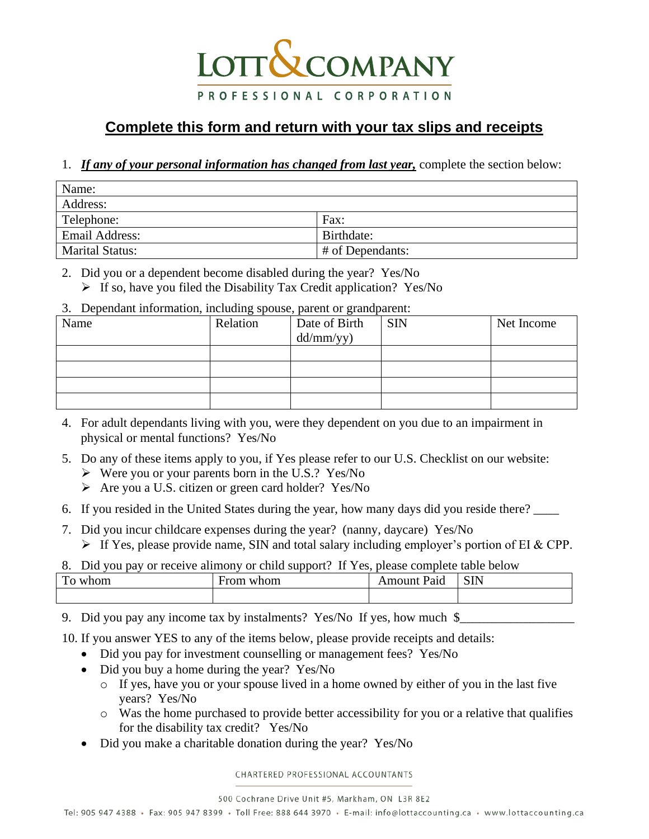## **LOTT & COMPANY** PROFESSIONAL CORPORATION

## **Complete this form and return with your tax slips and receipts**

## 1. *If any of your personal information has changed from last year,* complete the section below:

| Name:                  |                  |  |  |  |
|------------------------|------------------|--|--|--|
| Address:               |                  |  |  |  |
| Telephone:             | Fax:             |  |  |  |
| <b>Email Address:</b>  | Birthdate:       |  |  |  |
| <b>Marital Status:</b> | # of Dependants: |  |  |  |

2. Did you or a dependent become disabled during the year? Yes/No

- ➢ If so, have you filed the Disability Tax Credit application? Yes/No
- 3. Dependant information, including spouse, parent or grandparent:

| Name | Relation | Date of Birth<br>dd/mm/yy) | <b>SIN</b> | Net Income |
|------|----------|----------------------------|------------|------------|
|      |          |                            |            |            |
|      |          |                            |            |            |
|      |          |                            |            |            |
|      |          |                            |            |            |

- 4. For adult dependants living with you, were they dependent on you due to an impairment in physical or mental functions? Yes/No
- 5. Do any of these items apply to you, if Yes please refer to our U.S. Checklist on our website:
	- ➢ Were you or your parents born in the U.S.? Yes/No
	- ➢ Are you a U.S. citizen or green card holder? Yes/No
- 6. If you resided in the United States during the year, how many days did you reside there? \_\_\_\_
- 7. Did you incur childcare expenses during the year? (nanny, daycare) Yes/No
	- $\triangleright$  If Yes, please provide name, SIN and total salary including employer's portion of EI & CPP.
- 8. Did you pay or receive alimony or child support? If Yes, please complete table below

| $\mathbf{r}$<br>whom<br>.,<br>- | From<br>whom | $\overline{\phantom{a}}$<br>. .<br>Paid<br>Amount | <b>SIN</b> |
|---------------------------------|--------------|---------------------------------------------------|------------|
|                                 |              |                                                   |            |

9. Did you pay any income tax by instalments? Yes/No If yes, how much \$\_\_\_\_\_\_\_\_\_\_

10. If you answer YES to any of the items below, please provide receipts and details:

- Did you pay for investment counselling or management fees? Yes/No
- Did you buy a home during the year? Yes/No
	- o If yes, have you or your spouse lived in a home owned by either of you in the last five years? Yes/No
	- o Was the home purchased to provide better accessibility for you or a relative that qualifies for the disability tax credit? Yes/No
- Did you make a charitable donation during the year? Yes/No

CHARTERED PROFESSIONAL ACCOUNTANTS